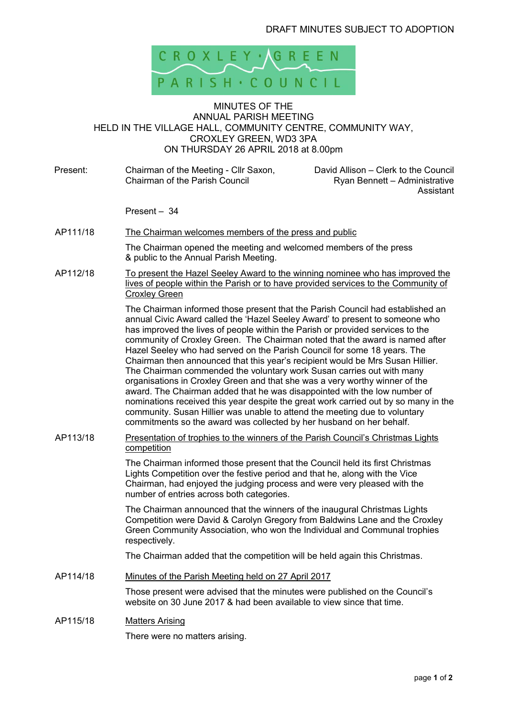

## MINUTES OF THE ANNUAL PARISH MEETING HELD IN THE VILLAGE HALL, COMMUNITY CENTRE, COMMUNITY WAY, CROXLEY GREEN, WD3 3PA ON THURSDAY 26 APRIL 2018 at 8.00pm

| Present: | Chairman of the Meeting - Cllr Saxon,<br>Chairman of the Parish Council                                                                                                                                                                                                                                                                                                                                                                                                                                                                                                                                                                                                                                                                                                                                                                                                                                                                                                          | David Allison - Clerk to the Council<br>Ryan Bennett - Administrative<br>Assistant |  |
|----------|----------------------------------------------------------------------------------------------------------------------------------------------------------------------------------------------------------------------------------------------------------------------------------------------------------------------------------------------------------------------------------------------------------------------------------------------------------------------------------------------------------------------------------------------------------------------------------------------------------------------------------------------------------------------------------------------------------------------------------------------------------------------------------------------------------------------------------------------------------------------------------------------------------------------------------------------------------------------------------|------------------------------------------------------------------------------------|--|
|          | Present - 34                                                                                                                                                                                                                                                                                                                                                                                                                                                                                                                                                                                                                                                                                                                                                                                                                                                                                                                                                                     |                                                                                    |  |
| AP111/18 | The Chairman welcomes members of the press and public                                                                                                                                                                                                                                                                                                                                                                                                                                                                                                                                                                                                                                                                                                                                                                                                                                                                                                                            |                                                                                    |  |
|          | The Chairman opened the meeting and welcomed members of the press<br>& public to the Annual Parish Meeting.                                                                                                                                                                                                                                                                                                                                                                                                                                                                                                                                                                                                                                                                                                                                                                                                                                                                      |                                                                                    |  |
| AP112/18 | <u>To present the Hazel Seeley Award to the winning nominee who has improved the</u><br>lives of people within the Parish or to have provided services to the Community of<br><b>Croxley Green</b>                                                                                                                                                                                                                                                                                                                                                                                                                                                                                                                                                                                                                                                                                                                                                                               |                                                                                    |  |
|          | The Chairman informed those present that the Parish Council had established an<br>annual Civic Award called the 'Hazel Seeley Award' to present to someone who<br>has improved the lives of people within the Parish or provided services to the<br>community of Croxley Green. The Chairman noted that the award is named after<br>Hazel Seeley who had served on the Parish Council for some 18 years. The<br>Chairman then announced that this year's recipient would be Mrs Susan Hillier.<br>The Chairman commended the voluntary work Susan carries out with many<br>organisations in Croxley Green and that she was a very worthy winner of the<br>award. The Chairman added that he was disappointed with the low number of<br>nominations received this year despite the great work carried out by so many in the<br>community. Susan Hillier was unable to attend the meeting due to voluntary<br>commitments so the award was collected by her husband on her behalf. |                                                                                    |  |
| AP113/18 | Presentation of trophies to the winners of the Parish Council's Christmas Lights<br>competition                                                                                                                                                                                                                                                                                                                                                                                                                                                                                                                                                                                                                                                                                                                                                                                                                                                                                  |                                                                                    |  |
|          | The Chairman informed those present that the Council held its first Christmas<br>Lights Competition over the festive period and that he, along with the Vice<br>Chairman, had enjoyed the judging process and were very pleased with the<br>number of entries across both categories.                                                                                                                                                                                                                                                                                                                                                                                                                                                                                                                                                                                                                                                                                            |                                                                                    |  |
|          | The Chairman announced that the winners of the inaugural Christmas Lights<br>Competition were David & Carolyn Gregory from Baldwins Lane and the Croxley<br>Green Community Association, who won the Individual and Communal trophies<br>respectively.                                                                                                                                                                                                                                                                                                                                                                                                                                                                                                                                                                                                                                                                                                                           |                                                                                    |  |
|          | The Chairman added that the competition will be held again this Christmas.                                                                                                                                                                                                                                                                                                                                                                                                                                                                                                                                                                                                                                                                                                                                                                                                                                                                                                       |                                                                                    |  |
| AP114/18 | Minutes of the Parish Meeting held on 27 April 2017                                                                                                                                                                                                                                                                                                                                                                                                                                                                                                                                                                                                                                                                                                                                                                                                                                                                                                                              |                                                                                    |  |
|          | Those present were advised that the minutes were published on the Council's<br>website on 30 June 2017 & had been available to view since that time.                                                                                                                                                                                                                                                                                                                                                                                                                                                                                                                                                                                                                                                                                                                                                                                                                             |                                                                                    |  |
| AP115/18 | <b>Matters Arising</b><br>There were no matters arising.                                                                                                                                                                                                                                                                                                                                                                                                                                                                                                                                                                                                                                                                                                                                                                                                                                                                                                                         |                                                                                    |  |